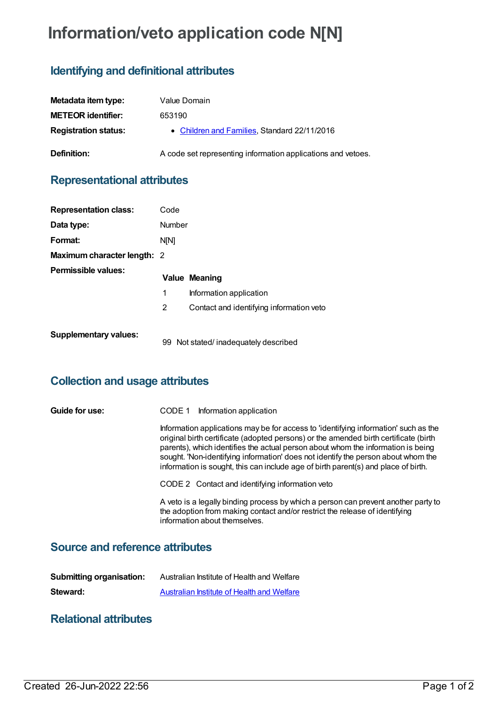# **Information/veto application code N[N]**

## **Identifying and definitional attributes**

| Metadata item type:         | Value Domain                                                 |
|-----------------------------|--------------------------------------------------------------|
| <b>METEOR identifier:</b>   | 653190                                                       |
| <b>Registration status:</b> | • Children and Families, Standard 22/11/2016                 |
| Definition:                 | A code set representing information applications and vetoes. |

## **Representational attributes**

| <b>Representation class:</b>       | Code   |                                          |
|------------------------------------|--------|------------------------------------------|
| Data type:                         | Number |                                          |
| Format:                            | N[N]   |                                          |
| <b>Maximum character length: 2</b> |        |                                          |
| Permissible values:                |        | <b>Value Meaning</b>                     |
|                                    | 1      | Information application                  |
|                                    | 2      | Contact and identifying information veto |
| <b>Supplementary values:</b>       | 99     | Not stated/inadequately described        |

# **Collection and usage attributes**

| Guide for use: | Information application<br>CODE 1                                                                                                                                                                                                                                                                                                                                                                                                          |  |
|----------------|--------------------------------------------------------------------------------------------------------------------------------------------------------------------------------------------------------------------------------------------------------------------------------------------------------------------------------------------------------------------------------------------------------------------------------------------|--|
|                | Information applications may be for access to 'identifying information' such as the<br>original birth certificate (adopted persons) or the amended birth certificate (birth<br>parents), which identifies the actual person about whom the information is being<br>sought. 'Non-identifying information' does not identify the person about whom the<br>information is sought, this can include age of birth parent(s) and place of birth. |  |
|                | CODE 2 Contact and identifying information veto                                                                                                                                                                                                                                                                                                                                                                                            |  |
|                | A veto is a legally binding process by which a person can prevent another party to<br>the adoption from making contact and/or restrict the release of identifying<br>information about themselves.                                                                                                                                                                                                                                         |  |

# **Source and reference attributes**

| <b>Submitting organisation:</b> | Australian Institute of Health and Welfare |
|---------------------------------|--------------------------------------------|
| Steward:                        | Australian Institute of Health and Welfare |

#### **Relational attributes**